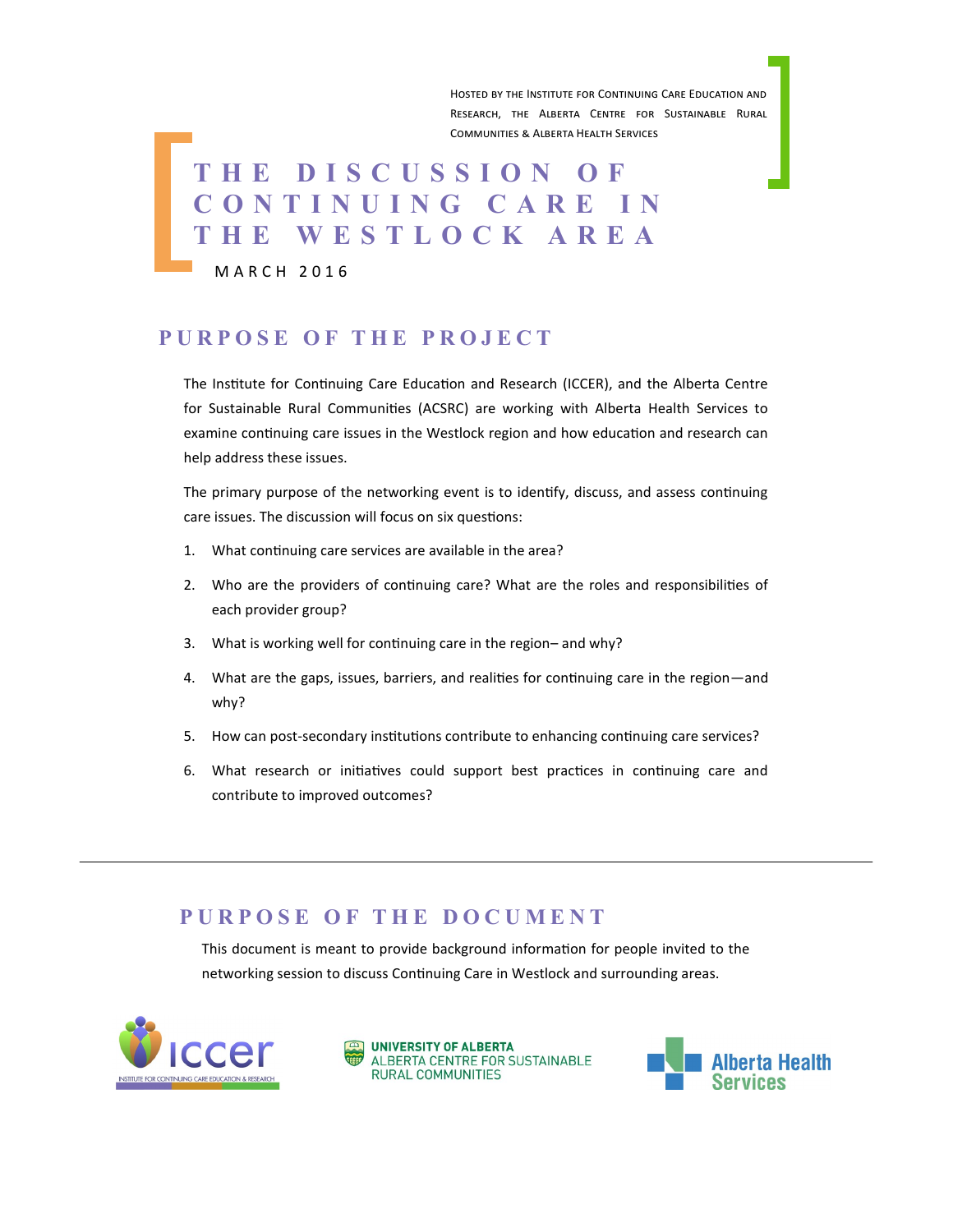Hosted by the Institute for Continuing Care Education and Research, the Alberta Centre for Sustainable Rural Communities & Alberta Health Services

# **T H E D I S C U S S I O N O F C O N T I N U I N G C A R E I N T H E W E S T L O C K A R E A**

M A R C H 2 0 1 6

#### **P U R P O S E O F T H E P R O J E C T**

The Institute for Continuing Care Education and Research (ICCER), and the Alberta Centre for Sustainable Rural Communities (ACSRC) are working with Alberta Health Services to examine continuing care issues in the Westlock region and how education and research can help address these issues.

The primary purpose of the networking event is to identify, discuss, and assess continuing care issues. The discussion will focus on six questions:

- 1. What continuing care services are available in the area?
- 2. Who are the providers of continuing care? What are the roles and responsibilities of each provider group?
- 3. What is working well for continuing care in the region– and why?
- 4. What are the gaps, issues, barriers, and realities for continuing care in the region—and why?
- 5. How can post-secondary institutions contribute to enhancing continuing care services?
- 6. What research or initiatives could support best practices in continuing care and contribute to improved outcomes?

#### **P U R P O S E O F T H E D O C U M E N T**

This document is meant to provide background information for people invited to the networking session to discuss Continuing Care in Westlock and surrounding areas.





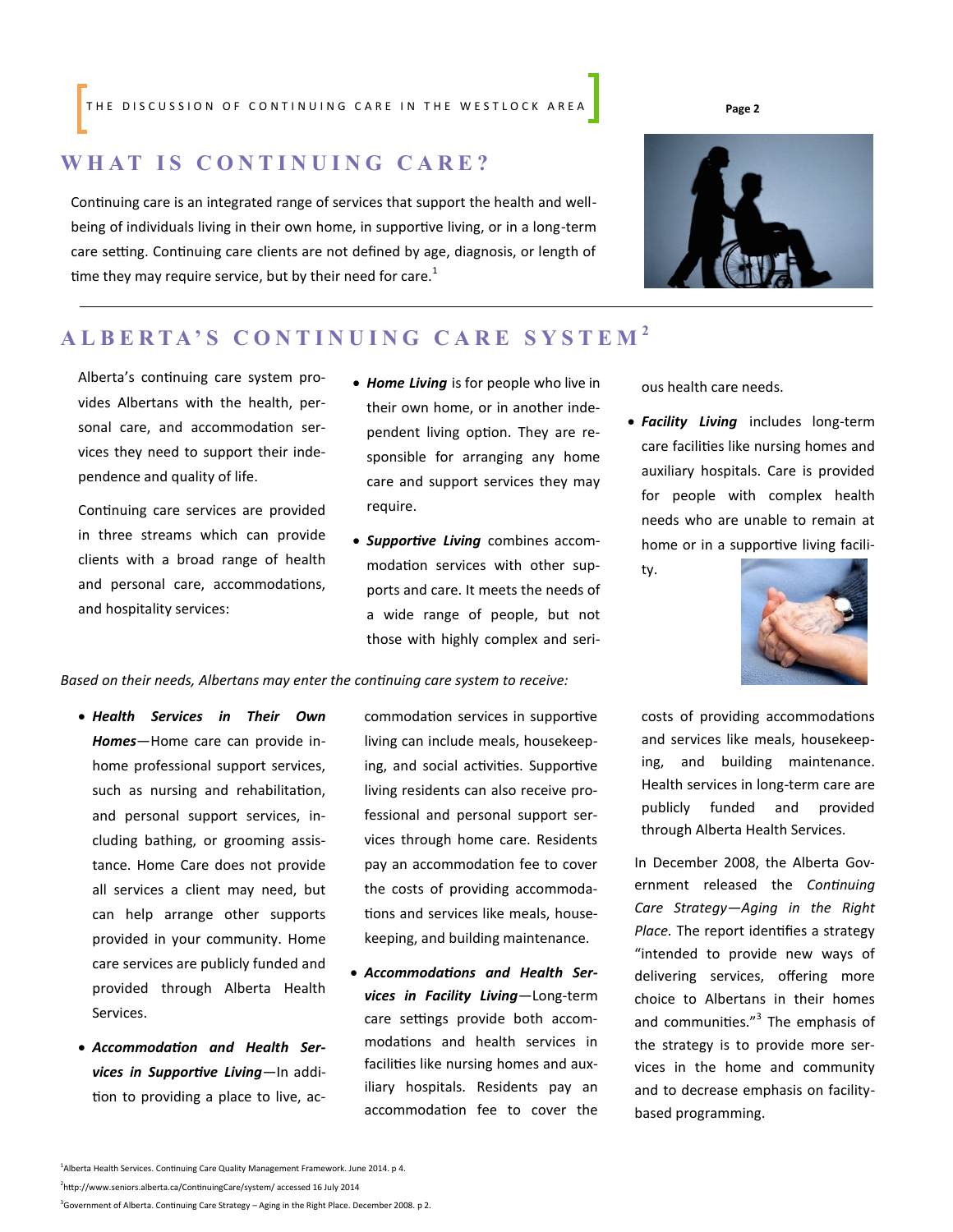#### THE DISCUSSION OF CONTINUING CARE IN THE WESTLOCK AREA **Page 2**

#### **W H A T I S C O N T I N U I N G C A R E ?**

Continuing care is an integrated range of services that support the health and wellbeing of individuals living in their own home, in supportive living, or in a long-term care setting. Continuing care clients are not defined by age, diagnosis, or length of time they may require service, but by their need for care.<sup>1</sup>

# **A L B E R T A ' S C O N T I N U I N G C A R E S Y S T E M <sup>2</sup>**

Alberta's continuing care system provides Albertans with the health, personal care, and accommodation services they need to support their independence and quality of life.

Continuing care services are provided in three streams which can provide clients with a broad range of health and personal care, accommodations, and hospitality services:

- *Home Living* is for people who live in their own home, or in another independent living option. They are responsible for arranging any home care and support services they may require.
- *Supportive Living* combines accommodation services with other supports and care. It meets the needs of a wide range of people, but not those with highly complex and seri-

ous health care needs.

- *Facility Living* includes long-term care facilities like nursing homes and auxiliary hospitals. Care is provided for people with complex health needs who are unable to remain at home or in a supportive living facili
	- ty.



*Based on their needs, Albertans may enter the continuing care system to receive:* 

- *Health Services in Their Own Homes*—Home care can provide inhome professional support services, such as nursing and rehabilitation, and personal support services, including bathing, or grooming assistance. Home Care does not provide all services a client may need, but can help arrange other supports provided in your community. Home care services are publicly funded and provided through Alberta Health Services.
- *Accommodation and Health Services in Supportive Living*—In addition to providing a place to live, ac-

commodation services in supportive living can include meals, housekeeping, and social activities. Supportive living residents can also receive professional and personal support services through home care. Residents pay an accommodation fee to cover the costs of providing accommodations and services like meals, housekeeping, and building maintenance.

 *Accommodations and Health Services in Facility Living*—Long-term care settings provide both accommodations and health services in facilities like nursing homes and auxiliary hospitals. Residents pay an accommodation fee to cover the costs of providing accommodations and services like meals, housekeeping, and building maintenance. Health services in long-term care are publicly funded and provided through Alberta Health Services.

In December 2008, the Alberta Government released the *Continuing Care Strategy—Aging in the Right Place.* The report identifies a strategy "intended to provide new ways of delivering services, offering more choice to Albertans in their homes and communities."<sup>3</sup> The emphasis of the strategy is to provide more services in the home and community and to decrease emphasis on facilitybased programming.

2 http://www.seniors.alberta.ca/ContinuingCare/system/ accessed 16 July 2014

<sup>3</sup>Government of Alberta. Continuing Care Strategy – Aging in the Right Place. December 2008. p 2.

<sup>&</sup>lt;sup>1</sup> Alberta Health Services. Continuing Care Quality Management Framework. June 2014. p 4.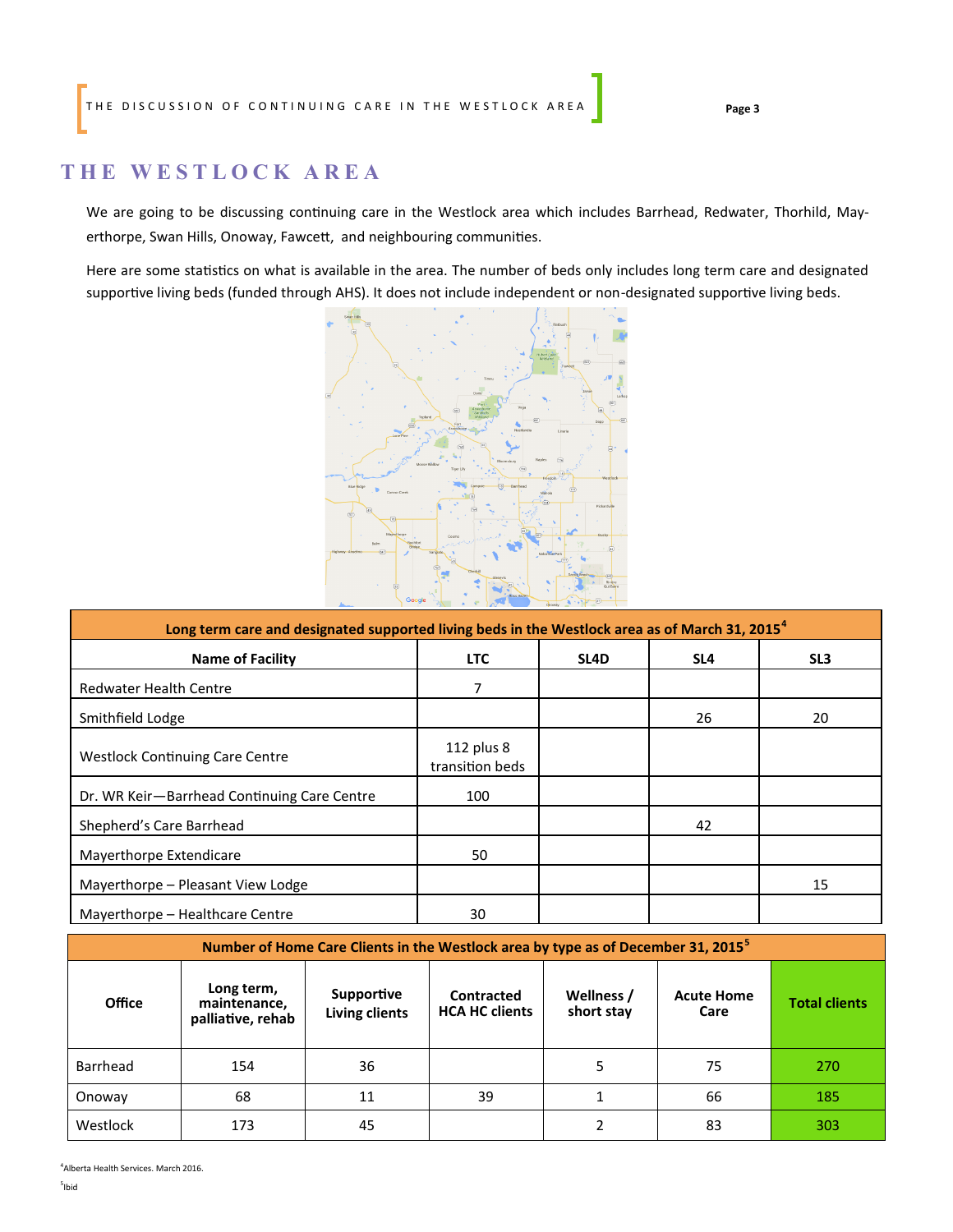### **T H E W E S T L O C K A R E A**

We are going to be discussing continuing care in the Westlock area which includes Barrhead, Redwater, Thorhild, Mayerthorpe, Swan Hills, Onoway, Fawcett, and neighbouring communities.

Here are some statistics on what is available in the area. The number of beds only includes long term care and designated supportive living beds (funded through AHS). It does not include independent or non-designated supportive living beds.



| Long term care and designated supported living beds in the Westlock area as of March 31, 2015 <sup>4</sup> |                               |      |                 |                 |  |  |  |  |
|------------------------------------------------------------------------------------------------------------|-------------------------------|------|-----------------|-----------------|--|--|--|--|
| <b>Name of Facility</b>                                                                                    | <b>LTC</b>                    | SL4D | SL <sub>4</sub> | SL <sub>3</sub> |  |  |  |  |
| <b>Redwater Health Centre</b>                                                                              | 7                             |      |                 |                 |  |  |  |  |
| Smithfield Lodge                                                                                           |                               |      | 26              | 20              |  |  |  |  |
| <b>Westlock Continuing Care Centre</b>                                                                     | 112 plus 8<br>transition beds |      |                 |                 |  |  |  |  |
| Dr. WR Keir-Barrhead Continuing Care Centre                                                                | 100                           |      |                 |                 |  |  |  |  |
| Shepherd's Care Barrhead                                                                                   |                               |      | 42              |                 |  |  |  |  |
| Mayerthorpe Extendicare                                                                                    | 50                            |      |                 |                 |  |  |  |  |
| Mayerthorpe - Pleasant View Lodge                                                                          |                               |      |                 | 15              |  |  |  |  |
| Mayerthorpe - Healthcare Centre                                                                            | 30                            |      |                 |                 |  |  |  |  |

| Number of Home Care Clients in the Westlock area by type as of December 31, 2015 <sup>5</sup> |                                                 |                                            |                                     |                          |                           |                      |  |  |  |
|-----------------------------------------------------------------------------------------------|-------------------------------------------------|--------------------------------------------|-------------------------------------|--------------------------|---------------------------|----------------------|--|--|--|
| <b>Office</b>                                                                                 | Long term,<br>maintenance,<br>palliative, rehab | <b>Supportive</b><br><b>Living clients</b> | Contracted<br><b>HCA HC clients</b> | Wellness /<br>short stay | <b>Acute Home</b><br>Care | <b>Total clients</b> |  |  |  |
| Barrhead                                                                                      | 154                                             | 36                                         |                                     | 5                        | 75                        | 270                  |  |  |  |
| Onoway                                                                                        | 68                                              | 11                                         | 39                                  |                          | 66                        | 185                  |  |  |  |
| Westlock                                                                                      | 173                                             | 45                                         |                                     |                          | 83                        | 303                  |  |  |  |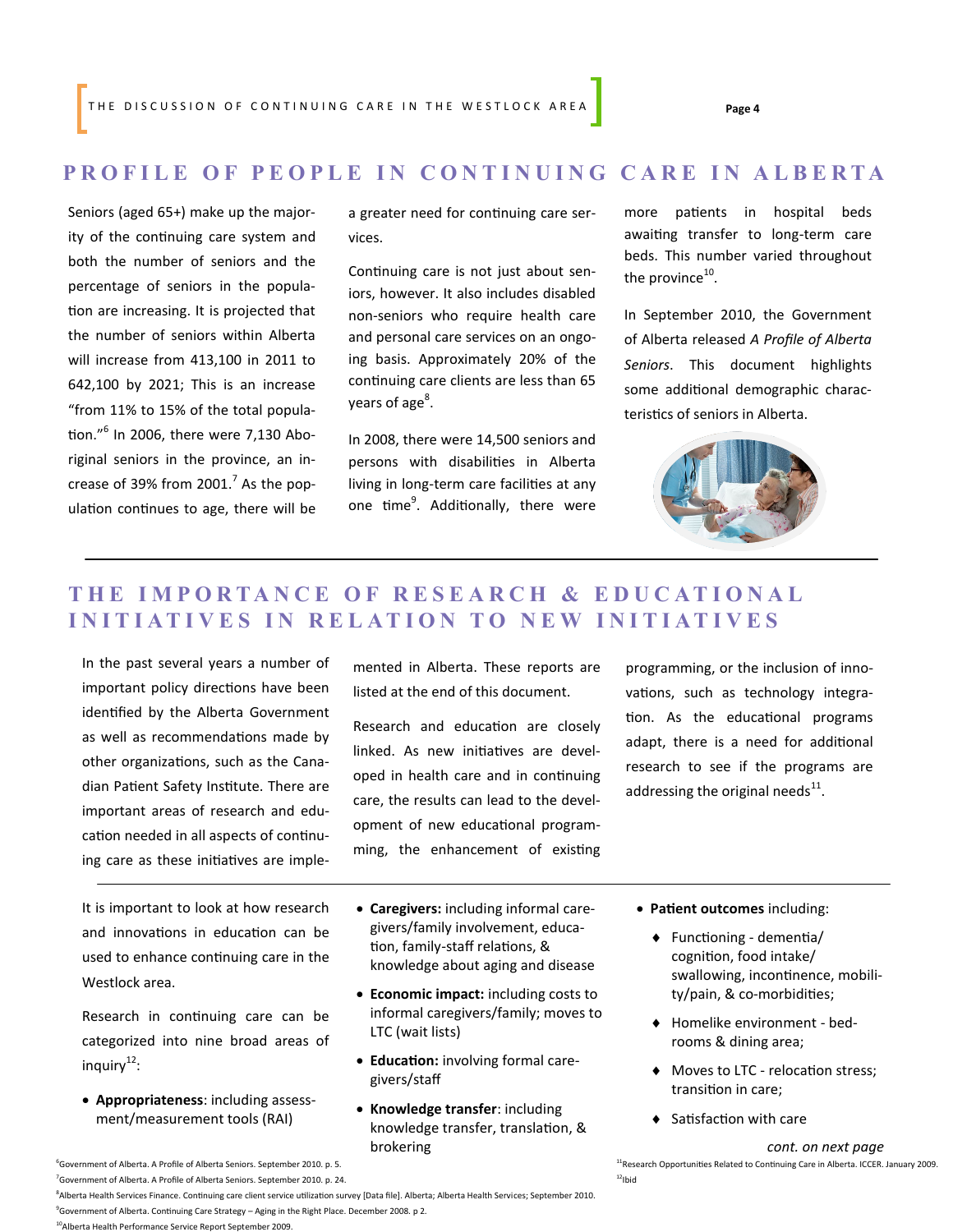#### **PROFILE OF PEOPLE IN CONTINUING CARE IN ALBERTA**

Seniors (aged 65+) make up the majority of the continuing care system and both the number of seniors and the percentage of seniors in the population are increasing. It is projected that the number of seniors within Alberta will increase from 413,100 in 2011 to 642,100 by 2021; This is an increase "from 11% to 15% of the total population."<sup>6</sup> In 2006, there were 7,130 Aboriginal seniors in the province, an increase of 39% from 2001. $^7$  As the population continues to age, there will be

a greater need for continuing care services.

Continuing care is not just about seniors, however. It also includes disabled non-seniors who require health care and personal care services on an ongoing basis. Approximately 20% of the continuing care clients are less than 65 years of age<sup>8</sup>.

In 2008, there were 14,500 seniors and persons with disabilities in Alberta living in long-term care facilities at any one time<sup>9</sup>. Additionally, there were more patients in hospital beds awaiting transfer to long-term care beds. This number varied throughout the province $^{10}$ .

In September 2010, the Government of Alberta released *A Profile of Alberta Seniors*. This document highlights some additional demographic characteristics of seniors in Alberta.



# **T H E I M P O R T A N C E O F R E S E A R C H & E D U C A T I O N A L INITIATIVES IN RELATION TO NEW INITIATIVES**

In the past several years a number of important policy directions have been identified by the Alberta Government as well as recommendations made by other organizations, such as the Canadian Patient Safety Institute. There are important areas of research and education needed in all aspects of continuing care as these initiatives are imple-

It is important to look at how research and innovations in education can be used to enhance continuing care in the Westlock area.

Research in continuing care can be categorized into nine broad areas of inquiry<sup>12</sup>:

 **Appropriateness**: including assessment/measurement tools (RAI)

mented in Alberta. These reports are listed at the end of this document.

Research and education are closely linked. As new initiatives are developed in health care and in continuing care, the results can lead to the development of new educational programming, the enhancement of existing programming, or the inclusion of innovations, such as technology integration. As the educational programs adapt, there is a need for additional research to see if the programs are addressing the original needs $^{11}$ .

- **Caregivers:** including informal caregivers/family involvement, education, family-staff relations, & knowledge about aging and disease
- **Economic impact:** including costs to informal caregivers/family; moves to LTC (wait lists)
- **Education:** involving formal caregivers/staff
- **Knowledge transfer**: including knowledge transfer, translation, & brokering
- **Patient outcomes** including:
	- Functioning dementia/ cognition, food intake/ swallowing, incontinence, mobility/pain, & co-morbidities;
	- Homelike environment bedrooms & dining area;
	- $\blacklozenge$  Moves to LTC relocation stress; transition in care;
	- ◆ Satisfaction with care

<sup>6</sup>Government of Alberta. A Profile of Alberta Seniors. September 2010. p. 5. 11**Research Opportunities Related to Continuing Care in Alberta. ICCER. January 2009.**  $12$ Ibid

8 Alberta Health Services Finance. Continuing care client service utilization survey [Data file]. Alberta; Alberta Health Services; September 2010. <sup>9</sup>Government of Alberta. Continuing Care Strategy – Aging in the Right Place. December 2008. p 2.

*cont. on next page*

 $^7$ Government of Alberta. A Profile of Alberta Seniors. September 2010. p. 24.

<sup>10</sup>Alberta Health Performance Service Report September 2009.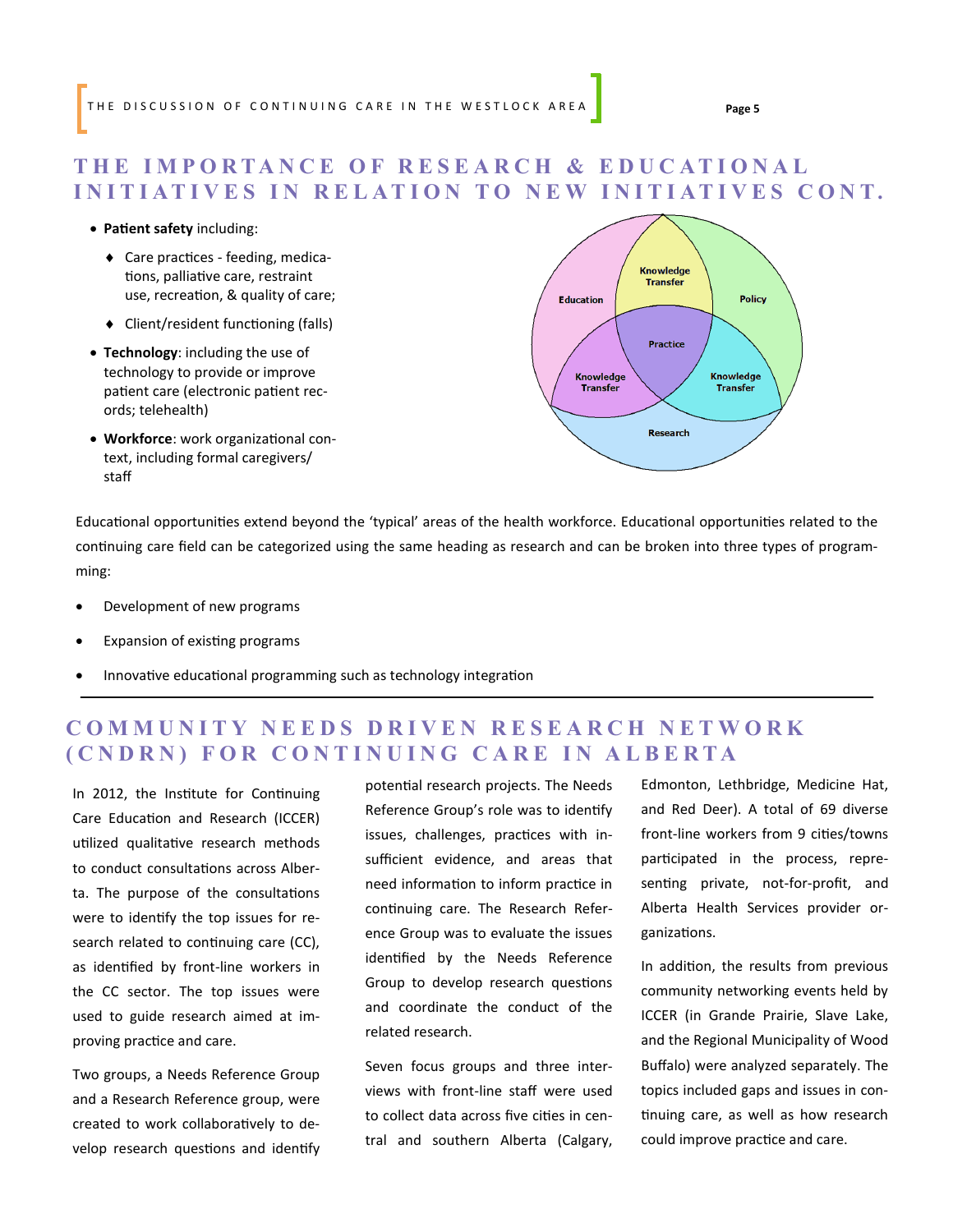### **T H E I M P O R T A N C E O F R E S E A R C H & E D U C A T I O N A L INITIATIVES IN RELATION TO NEW INITIATIVES CONT.**

#### **Patient safety** including:

- Care practices feeding, medications, palliative care, restraint use, recreation, & quality of care;
- Client/resident functioning (falls)
- **Technology**: including the use of technology to provide or improve patient care (electronic patient records; telehealth)
- **Workforce**: work organizational context, including formal caregivers/ staff



Educational opportunities extend beyond the 'typical' areas of the health workforce. Educational opportunities related to the continuing care field can be categorized using the same heading as research and can be broken into three types of programming:

- Development of new programs
- Expansion of existing programs
- Innovative educational programming such as technology integration

## **COMMUNITY NEEDS DRIVEN RESEARCH NETWORK ( C N D R N ) F O R C O N T I N U I N G C A R E I N A L B E R T A**

In 2012, the Institute for Continuing Care Education and Research (ICCER) utilized qualitative research methods to conduct consultations across Alberta. The purpose of the consultations were to identify the top issues for research related to continuing care (CC), as identified by front-line workers in the CC sector. The top issues were used to guide research aimed at improving practice and care.

Two groups, a Needs Reference Group and a Research Reference group, were created to work collaboratively to develop research questions and identify potential research projects. The Needs Reference Group's role was to identify issues, challenges, practices with insufficient evidence, and areas that need information to inform practice in continuing care. The Research Reference Group was to evaluate the issues identified by the Needs Reference Group to develop research questions and coordinate the conduct of the related research.

Seven focus groups and three interviews with front-line staff were used to collect data across five cities in central and southern Alberta (Calgary, Edmonton, Lethbridge, Medicine Hat, and Red Deer). A total of 69 diverse front-line workers from 9 cities/towns participated in the process, representing private, not-for-profit, and Alberta Health Services provider organizations.

In addition, the results from previous community networking events held by ICCER (in Grande Prairie, Slave Lake, and the Regional Municipality of Wood Buffalo) were analyzed separately. The topics included gaps and issues in continuing care, as well as how research could improve practice and care.